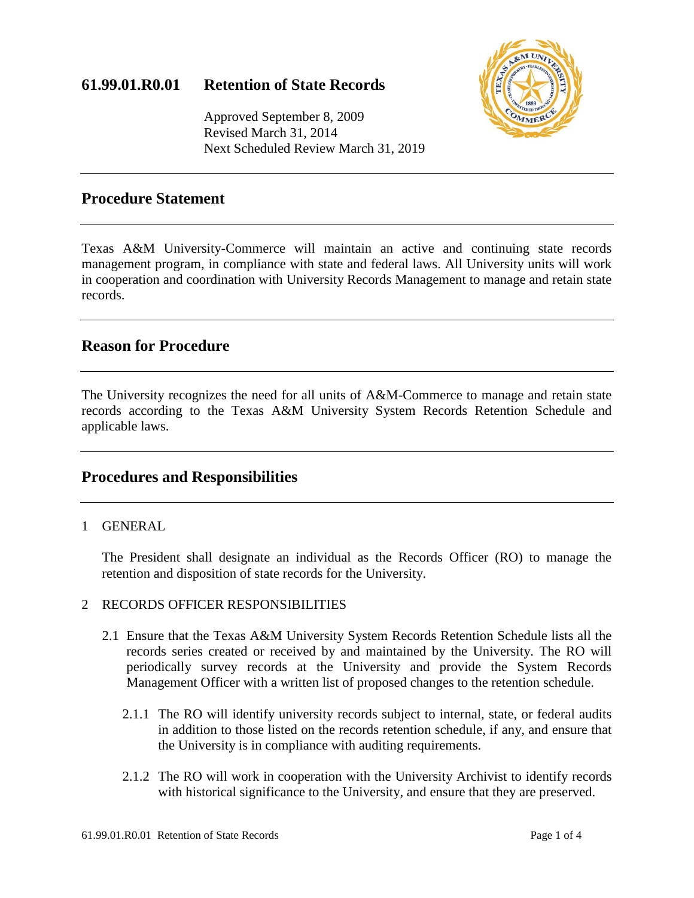## **61.99.01.R0.01 Retention of State Records**



Approved September 8, 2009 Revised March 31, 2014 Next Scheduled Review March 31, 2019

### **Procedure Statement**

Texas A&M University-Commerce will maintain an active and continuing state records management program, in compliance with state and federal laws. All University units will work in cooperation and coordination with University Records Management to manage and retain state records.

## **Reason for Procedure**

The University recognizes the need for all units of A&M-Commerce to manage and retain state records according to the Texas A&M University System Records Retention Schedule and applicable laws.

### **Procedures and Responsibilities**

### 1 GENERAL

The President shall designate an individual as the Records Officer (RO) to manage the retention and disposition of state records for the University.

### 2 RECORDS OFFICER RESPONSIBILITIES

- 2.1 Ensure that the Texas A&M University System Records Retention Schedule lists all the records series created or received by and maintained by the University. The RO will periodically survey records at the University and provide the System Records Management Officer with a written list of proposed changes to the retention schedule.
	- 2.1.1 The RO will identify university records subject to internal, state, or federal audits in addition to those listed on the records retention schedule, if any, and ensure that the University is in compliance with auditing requirements.
	- 2.1.2 The RO will work in cooperation with the University Archivist to identify records with historical significance to the University, and ensure that they are preserved.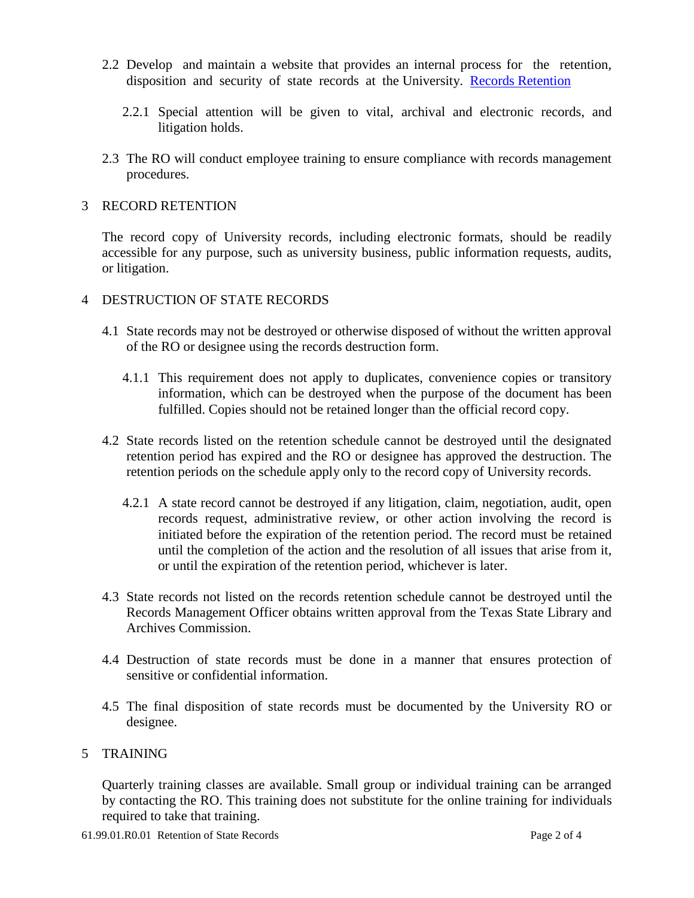- 2.2 Develop and maintain a website that provides an internal process for the retention, disposition and security of state records at the University. [Records Retention](http://www.tamuc.edu/aboutUs/administrativeOffices/businessAdministration/departmentsOffices/auxiliaryServices/records-retention/default.aspx)
	- 2.2.1 Special attention will be given to vital, archival and electronic records, and litigation holds.
- 2.3 The RO will conduct employee training to ensure compliance with records management procedures.

#### 3 RECORD RETENTION

The record copy of University records, including electronic formats, should be readily accessible for any purpose, such as university business, public information requests, audits, or litigation.

- 4 DESTRUCTION OF STATE RECORDS
	- 4.1 State records may not be destroyed or otherwise disposed of without the written approval of the RO or designee using the records destruction form.
		- 4.1.1 This requirement does not apply to duplicates, convenience copies or transitory information, which can be destroyed when the purpose of the document has been fulfilled. Copies should not be retained longer than the official record copy.
	- 4.2 State records listed on the retention schedule cannot be destroyed until the designated retention period has expired and the RO or designee has approved the destruction. The retention periods on the schedule apply only to the record copy of University records.
		- 4.2.1 A state record cannot be destroyed if any litigation, claim, negotiation, audit, open records request, administrative review, or other action involving the record is initiated before the expiration of the retention period. The record must be retained until the completion of the action and the resolution of all issues that arise from it, or until the expiration of the retention period, whichever is later.
	- 4.3 State records not listed on the records retention schedule cannot be destroyed until the Records Management Officer obtains written approval from the Texas State Library and Archives Commission.
	- 4.4 Destruction of state records must be done in a manner that ensures protection of sensitive or confidential information.
	- 4.5 The final disposition of state records must be documented by the University RO or designee.

#### 5 TRAINING

Quarterly training classes are available. Small group or individual training can be arranged by contacting the RO. This training does not substitute for the online training for individuals required to take that training.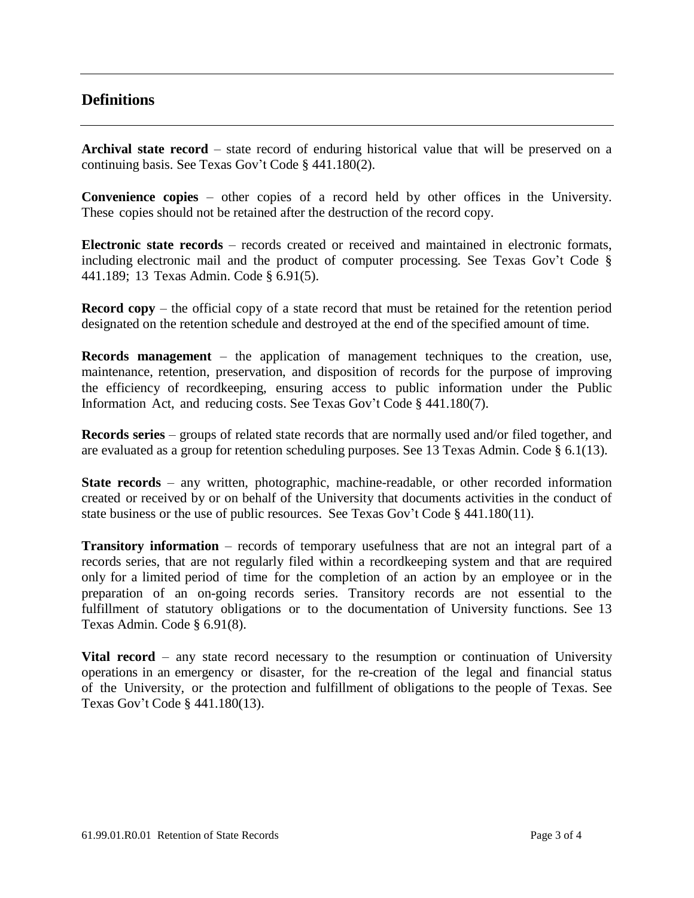## **Definitions**

**Archival state record** – state record of enduring historical value that will be preserved on a continuing basis. See Texas Gov't Code § 441.180(2).

**Convenience copies** – other copies of a record held by other offices in the University. These copies should not be retained after the destruction of the record copy.

**Electronic state records** – records created or received and maintained in electronic formats, including electronic mail and the product of computer processing. See Texas Gov't Code § 441.189; 13 Texas Admin. Code § 6.91(5).

**Record copy** – the official copy of a state record that must be retained for the retention period designated on the retention schedule and destroyed at the end of the specified amount of time.

**Records management** – the application of management techniques to the creation, use, maintenance, retention, preservation, and disposition of records for the purpose of improving the efficiency of recordkeeping, ensuring access to public information under the Public Information Act, and reducing costs. See Texas Gov't Code § 441.180(7).

**Records series** – groups of related state records that are normally used and/or filed together, and are evaluated as a group for retention scheduling purposes. See 13 Texas Admin. Code § 6.1(13).

**State records** – any written, photographic, machine-readable, or other recorded information created or received by or on behalf of the University that documents activities in the conduct of state business or the use of public resources. See Texas Gov't Code § 441.180(11).

**Transitory information** – records of temporary usefulness that are not an integral part of a records series, that are not regularly filed within a recordkeeping system and that are required only for a limited period of time for the completion of an action by an employee or in the preparation of an on-going records series. Transitory records are not essential to the fulfillment of statutory obligations or to the documentation of University functions. See 13 Texas Admin. Code § 6.91(8).

**Vital record** – any state record necessary to the resumption or continuation of University operations in an emergency or disaster, for the re-creation of the legal and financial status of the University, or the protection and fulfillment of obligations to the people of Texas. See Texas Gov't Code § 441.180(13).